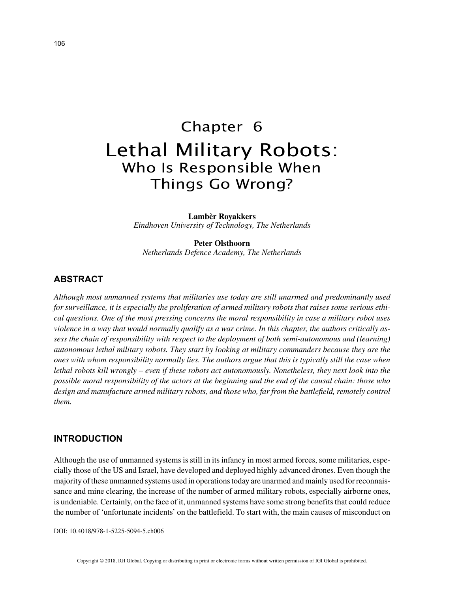# Chapter 6 Lethal Military Robots: Who Is Responsible When Things Go Wrong?

**Lambèr Royakkers** *Eindhoven University of Technology, The Netherlands*

**Peter Olsthoorn** *Netherlands Defence Academy, The Netherlands*

# **ABSTRACT**

*Although most unmanned systems that militaries use today are still unarmed and predominantly used for surveillance, it is especially the proliferation of armed military robots that raises some serious ethical questions. One of the most pressing concerns the moral responsibility in case a military robot uses violence in a way that would normally qualify as a war crime. In this chapter, the authors critically assess the chain of responsibility with respect to the deployment of both semi-autonomous and (learning) autonomous lethal military robots. They start by looking at military commanders because they are the ones with whom responsibility normally lies. The authors argue that this is typically still the case when lethal robots kill wrongly – even if these robots act autonomously. Nonetheless, they next look into the possible moral responsibility of the actors at the beginning and the end of the causal chain: those who design and manufacture armed military robots, and those who, far from the battlefield, remotely control them.*

### **INTRODUCTION**

Although the use of unmanned systems is still in its infancy in most armed forces, some militaries, especially those of the US and Israel, have developed and deployed highly advanced drones. Even though the majority of these unmanned systems used in operations today are unarmed and mainly used for reconnaissance and mine clearing, the increase of the number of armed military robots, especially airborne ones, is undeniable. Certainly, on the face of it, unmanned systems have some strong benefits that could reduce the number of 'unfortunate incidents' on the battlefield. To start with, the main causes of misconduct on

DOI: 10.4018/978-1-5225-5094-5.ch006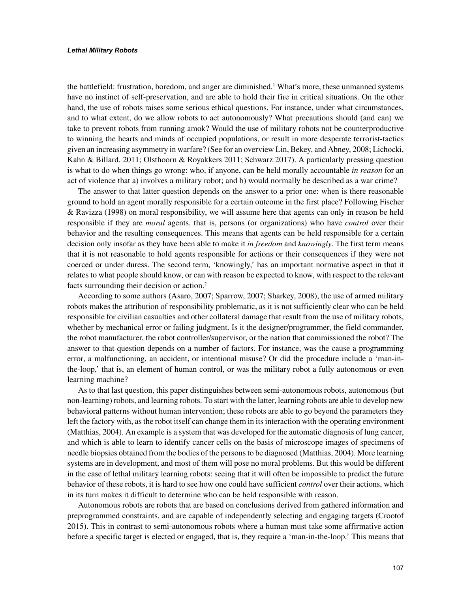#### *Lethal Military Robots*

the battlefield: frustration, boredom, and anger are diminished.<sup>1</sup> What's more, these unmanned systems have no instinct of self-preservation, and are able to hold their fire in critical situations. On the other hand, the use of robots raises some serious ethical questions. For instance, under what circumstances, and to what extent, do we allow robots to act autonomously? What precautions should (and can) we take to prevent robots from running amok? Would the use of military robots not be counterproductive to winning the hearts and minds of occupied populations, or result in more desperate terrorist-tactics given an increasing asymmetry in warfare? (See for an overview Lin, Bekey, and Abney, 2008; Lichocki, Kahn & Billard. 2011; Olsthoorn & Royakkers 2011; Schwarz 2017). A particularly pressing question is what to do when things go wrong: who, if anyone, can be held morally accountable *in reason* for an act of violence that a) involves a military robot; and b) would normally be described as a war crime?

The answer to that latter question depends on the answer to a prior one: when is there reasonable ground to hold an agent morally responsible for a certain outcome in the first place? Following Fischer & Ravizza (1998) on moral responsibility, we will assume here that agents can only in reason be held responsible if they are *moral* agents, that is, persons (or organizations) who have *control* over their behavior and the resulting consequences. This means that agents can be held responsible for a certain decision only insofar as they have been able to make it *in freedom* and *knowingly*. The first term means that it is not reasonable to hold agents responsible for actions or their consequences if they were not coerced or under duress. The second term, 'knowingly,' has an important normative aspect in that it relates to what people should know, or can with reason be expected to know, with respect to the relevant facts surrounding their decision or action.<sup>2</sup>

According to some authors (Asaro, 2007; Sparrow, 2007; Sharkey, 2008), the use of armed military robots makes the attribution of responsibility problematic, as it is not sufficiently clear who can be held responsible for civilian casualties and other collateral damage that result from the use of military robots, whether by mechanical error or failing judgment. Is it the designer/programmer, the field commander, the robot manufacturer, the robot controller/supervisor, or the nation that commissioned the robot? The answer to that question depends on a number of factors. For instance, was the cause a programming error, a malfunctioning, an accident, or intentional misuse? Or did the procedure include a 'man-inthe-loop,' that is, an element of human control, or was the military robot a fully autonomous or even learning machine?

As to that last question, this paper distinguishes between semi-autonomous robots, autonomous (but non-learning) robots, and learning robots. To start with the latter, learning robots are able to develop new behavioral patterns without human intervention; these robots are able to go beyond the parameters they left the factory with, as the robot itself can change them in its interaction with the operating environment (Matthias, 2004). An example is a system that was developed for the automatic diagnosis of lung cancer, and which is able to learn to identify cancer cells on the basis of microscope images of specimens of needle biopsies obtained from the bodies of the persons to be diagnosed (Matthias, 2004). More learning systems are in development, and most of them will pose no moral problems. But this would be different in the case of lethal military learning robots: seeing that it will often be impossible to predict the future behavior of these robots, it is hard to see how one could have sufficient *control* over their actions, which in its turn makes it difficult to determine who can be held responsible with reason.

Autonomous robots are robots that are based on conclusions derived from gathered information and preprogrammed constraints, and are capable of independently selecting and engaging targets (Crootof 2015). This in contrast to semi-autonomous robots where a human must take some affirmative action before a specific target is elected or engaged, that is, they require a 'man-in-the-loop.' This means that